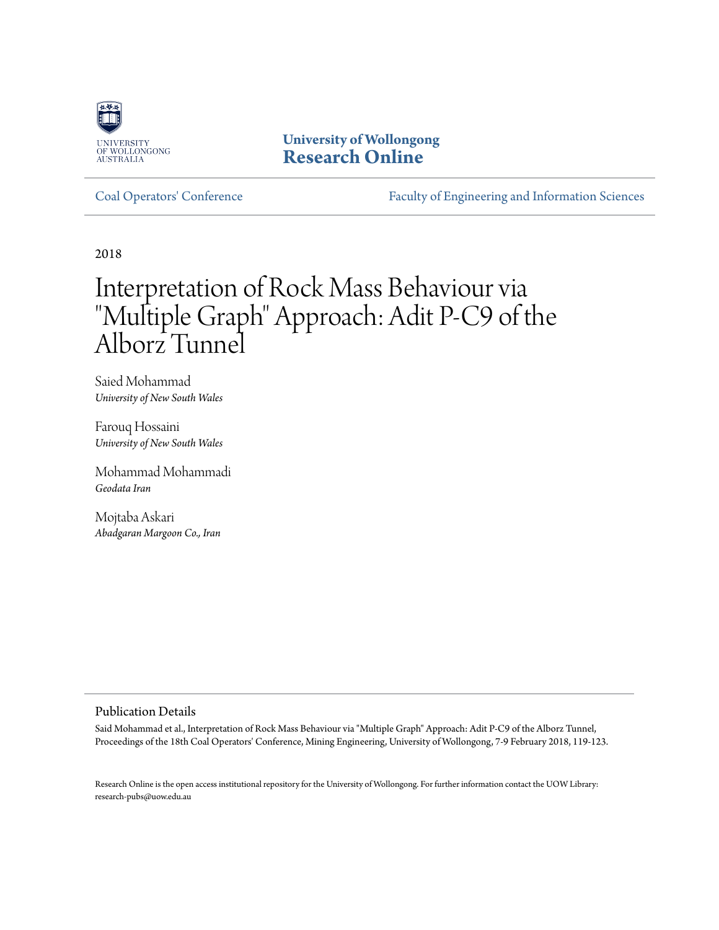

**University of Wollongong [Research Online](http://ro.uow.edu.au)**

[Coal Operators' Conference](http://ro.uow.edu.au/coal) [Faculty of Engineering and Information Sciences](http://ro.uow.edu.au/eis)

2018

# Interpretation of Rock Mass Behaviour via "Multiple Graph" Approach: Adit P-C9 of the Alborz Tunnel

Saied Mohammad *University of New South Wales*

Farouq Hossaini *University of New South Wales*

Mohammad Mohammadi *Geodata Iran*

Mojtaba Askari *Abadgaran Margoon Co., Iran*

#### Publication Details

Said Mohammad et al., Interpretation of Rock Mass Behaviour via "Multiple Graph" Approach: Adit P-C9 of the Alborz Tunnel, Proceedings of the 18th Coal Operators' Conference, Mining Engineering, University of Wollongong, 7-9 February 2018, 119-123.

Research Online is the open access institutional repository for the University of Wollongong. For further information contact the UOW Library: research-pubs@uow.edu.au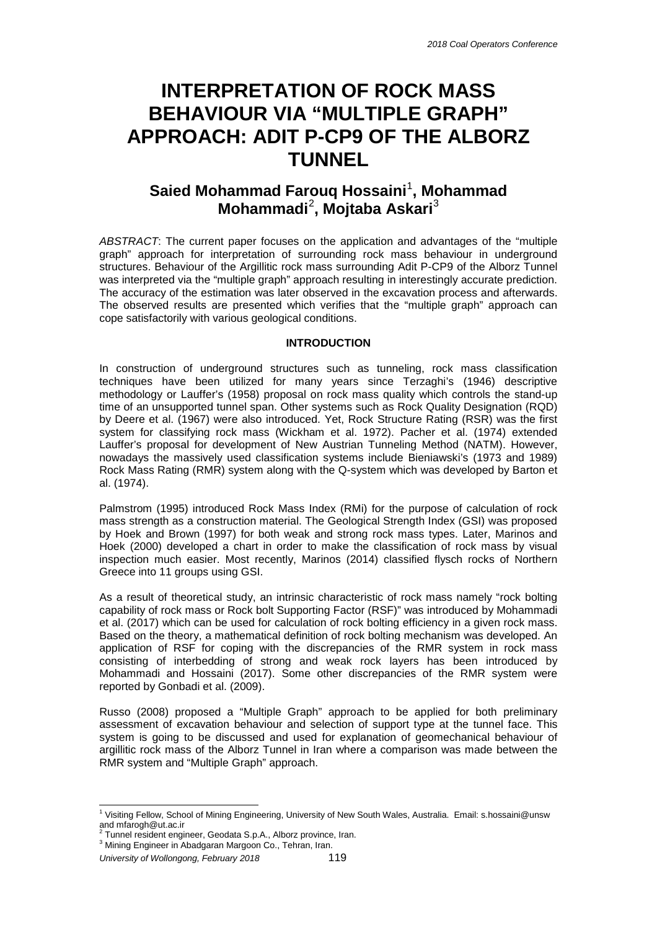## **INTERPRETATION OF ROCK MASS BEHAVIOUR VIA "MULTIPLE GRAPH" APPROACH: ADIT P-CP9 OF THE ALBORZ TUNNEL**

### **Saied Mohammad Farouq Hossaini**<sup>1</sup> **, Mohammad Mohammadi**[2](#page-1-0) **, Mojtaba Askari**[3](#page-1-1)

*ABSTRACT*: The current paper focuses on the application and advantages of the "multiple graph" approach for interpretation of surrounding rock mass behaviour in underground structures. Behaviour of the Argillitic rock mass surrounding Adit P-CP9 of the Alborz Tunnel was interpreted via the "multiple graph" approach resulting in interestingly accurate prediction. The accuracy of the estimation was later observed in the excavation process and afterwards. The observed results are presented which verifies that the "multiple graph" approach can cope satisfactorily with various geological conditions.

#### **INTRODUCTION**

In construction of underground structures such as tunneling, rock mass classification techniques have been utilized for many years since Terzaghi's (1946) descriptive methodology or Lauffer's (1958) proposal on rock mass quality which controls the stand-up time of an unsupported tunnel span. Other systems such as Rock Quality Designation (RQD) by Deere et al. (1967) were also introduced. Yet, Rock Structure Rating (RSR) was the first system for classifying rock mass (Wickham et al. 1972). Pacher et al. (1974) extended Lauffer's proposal for development of New Austrian Tunneling Method (NATM). However, nowadays the massively used classification systems include Bieniawski's (1973 and 1989) Rock Mass Rating (RMR) system along with the Q-system which was developed by Barton et al. (1974).

Palmstrom (1995) introduced Rock Mass Index (RMi) for the purpose of calculation of rock mass strength as a construction material. The Geological Strength Index (GSI) was proposed by Hoek and Brown (1997) for both weak and strong rock mass types. Later, Marinos and Hoek (2000) developed a chart in order to make the classification of rock mass by visual inspection much easier. Most recently, Marinos (2014) classified flysch rocks of Northern Greece into 11 groups using GSI.

As a result of theoretical study, an intrinsic characteristic of rock mass namely "rock bolting capability of rock mass or Rock bolt Supporting Factor (RSF)" was introduced by Mohammadi et al. (2017) which can be used for calculation of rock bolting efficiency in a given rock mass. Based on the theory, a mathematical definition of rock bolting mechanism was developed. An application of RSF for coping with the discrepancies of the RMR system in rock mass consisting of interbedding of strong and weak rock layers has been introduced by Mohammadi and Hossaini (2017). Some other discrepancies of the RMR system were reported by Gonbadi et al. (2009).

Russo (2008) proposed a "Multiple Graph" approach to be applied for both preliminary assessment of excavation behaviour and selection of support type at the tunnel face. This system is going to be discussed and used for explanation of geomechanical behaviour of argillitic rock mass of the Alborz Tunnel in Iran where a comparison was made between the RMR system and "Multiple Graph" approach.

 $1$  Visiting Fellow, School of Mining Engineering, University of New South Wales, Australia. Email: s.hossaini@unsw and mfarogh@ut.ac.ir<br><sup>2</sup> Tunnel resident engineer, Geodata S.p.A., Alborz province, Iran.

<span id="page-1-1"></span><span id="page-1-0"></span><sup>3</sup> Mining Engineer in Abadgaran Margoon Co., Tehran, Iran.

*University of Wollongong, February 2018* 119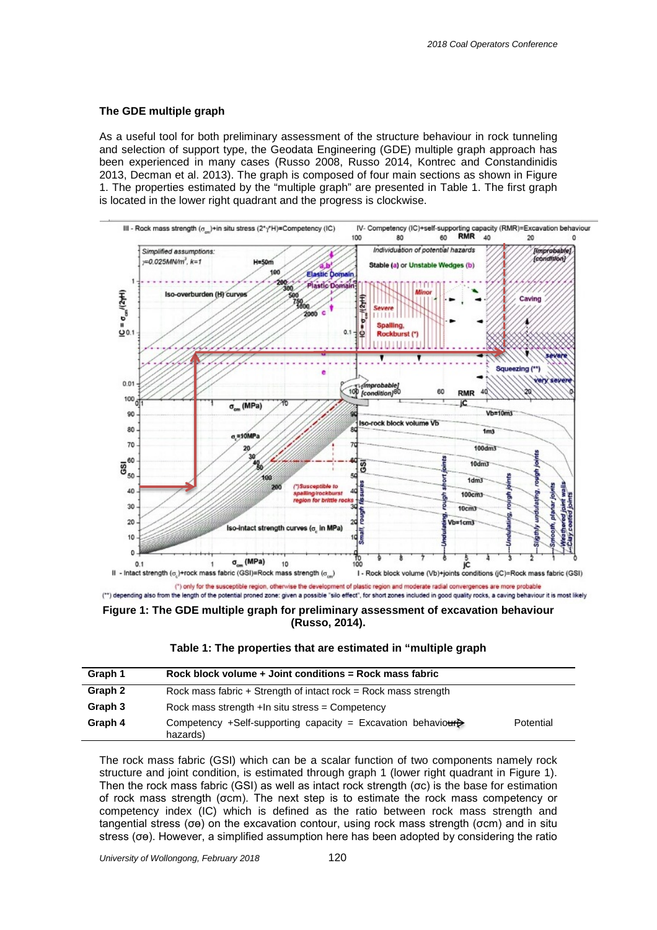#### **The GDE multiple graph**

As a useful tool for both preliminary assessment of the structure behaviour in rock tunneling and selection of support type, the Geodata Engineering (GDE) multiple graph approach has been experienced in many cases (Russo 2008, Russo 2014, Kontrec and Constandinidis 2013, Decman et al. 2013). The graph is composed of four main sections as shown in Figure 1. The properties estimated by the "multiple graph" are presented in Table 1. The first graph is located in the lower right quadrant and the progress is clockwise.



(\*\*) depending also from the length of the potential proned zone: given a possible "silo effect", for short zones included in good quality rocks, a caving behaviour it is most likely

**Figure 1: The GDE multiple graph for preliminary assessment of excavation behaviour (Russo, 2014).**

| Table 1: The properties that are estimated in "multiple graph |  |  |
|---------------------------------------------------------------|--|--|
|---------------------------------------------------------------|--|--|

| Graph 1 | Rock block volume + Joint conditions = Rock mass fabric                  |           |
|---------|--------------------------------------------------------------------------|-----------|
| Graph 2 | Rock mass fabric $+$ Strength of intact rock = Rock mass strength        |           |
| Graph 3 | Rock mass strength $+$ In situ stress = Competency                       |           |
| Graph 4 | Competency +Self-supporting capacity = Excavation behavioure<br>hazards) | Potential |

The rock mass fabric (GSI) which can be a scalar function of two components namely rock structure and joint condition, is estimated through graph 1 (lower right quadrant in Figure 1). Then the rock mass fabric (GSI) as well as intact rock strength (σc) is the base for estimation of rock mass strength (σcm). The next step is to estimate the rock mass competency or competency index (IC) which is defined as the ratio between rock mass strength and tangential stress (σө) on the excavation contour, using rock mass strength (σcm) and in situ stress (σө). However, a simplified assumption here has been adopted by considering the ratio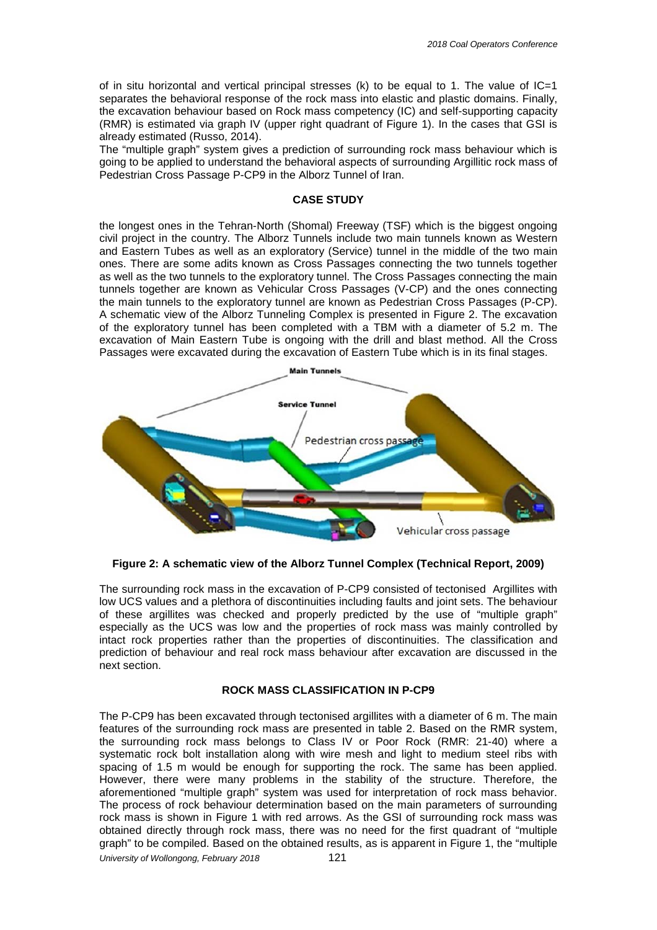of in situ horizontal and vertical principal stresses (k) to be equal to 1. The value of  $IC=1$ separates the behavioral response of the rock mass into elastic and plastic domains. Finally, the excavation behaviour based on Rock mass competency (IC) and self-supporting capacity (RMR) is estimated via graph IV (upper right quadrant of Figure 1). In the cases that GSI is already estimated (Russo, 2014).

The "multiple graph" system gives a prediction of surrounding rock mass behaviour which is going to be applied to understand the behavioral aspects of surrounding Argillitic rock mass of Pedestrian Cross Passage P-CP9 in the Alborz Tunnel of Iran.

#### **CASE STUDY**

the longest ones in the Tehran-North (Shomal) Freeway (TSF) which is the biggest ongoing civil project in the country. The Alborz Tunnels include two main tunnels known as Western and Eastern Tubes as well as an exploratory (Service) tunnel in the middle of the two main ones. There are some adits known as Cross Passages connecting the two tunnels together as well as the two tunnels to the exploratory tunnel. The Cross Passages connecting the main tunnels together are known as Vehicular Cross Passages (V-CP) and the ones connecting the main tunnels to the exploratory tunnel are known as Pedestrian Cross Passages (P-CP). A schematic view of the Alborz Tunneling Complex is presented in Figure 2. The excavation of the exploratory tunnel has been completed with a TBM with a diameter of 5.2 m. The excavation of Main Eastern Tube is ongoing with the drill and blast method. All the Cross Passages were excavated during the excavation of Eastern Tube which is in its final stages.



**Figure 2: A schematic view of the Alborz Tunnel Complex (Technical Report, 2009)**

The surrounding rock mass in the excavation of P-CP9 consisted of tectonised Argillites with low UCS values and a plethora of discontinuities including faults and joint sets. The behaviour of these argillites was checked and properly predicted by the use of "multiple graph" especially as the UCS was low and the properties of rock mass was mainly controlled by intact rock properties rather than the properties of discontinuities. The classification and prediction of behaviour and real rock mass behaviour after excavation are discussed in the next section.

#### **ROCK MASS CLASSIFICATION IN P-CP9**

The P-CP9 has been excavated through tectonised argillites with a diameter of 6 m. The main features of the surrounding rock mass are presented in table 2. Based on the RMR system, the surrounding rock mass belongs to Class IV or Poor Rock (RMR: 21-40) where a systematic rock bolt installation along with wire mesh and light to medium steel ribs with spacing of 1.5 m would be enough for supporting the rock. The same has been applied. However, there were many problems in the stability of the structure. Therefore, the aforementioned "multiple graph" system was used for interpretation of rock mass behavior. The process of rock behaviour determination based on the main parameters of surrounding rock mass is shown in Figure 1 with red arrows. As the GSI of surrounding rock mass was obtained directly through rock mass, there was no need for the first quadrant of "multiple graph" to be compiled. Based on the obtained results, as is apparent in Figure 1, the "multiple

*University of Wollongong, February 2018* 121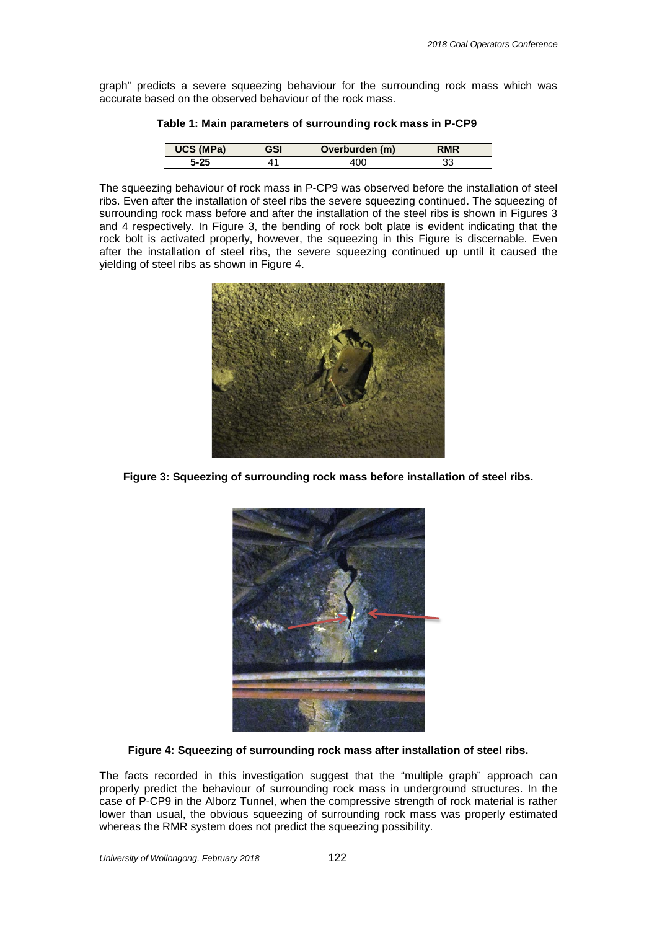graph" predicts a severe squeezing behaviour for the surrounding rock mass which was accurate based on the observed behaviour of the rock mass.

|           |     | .              |            |
|-----------|-----|----------------|------------|
| UCS (MPa) | GSI | Overburden (m) | <b>RMR</b> |

|  |  | Table 1: Main parameters of surrounding rock mass in P-CP9 |  |
|--|--|------------------------------------------------------------|--|
|  |  |                                                            |  |

**5-25** 41 400 33

The squeezing behaviour of rock mass in P-CP9 was observed before the installation of steel ribs. Even after the installation of steel ribs the severe squeezing continued. The squeezing of surrounding rock mass before and after the installation of the steel ribs is shown in Figures 3 and 4 respectively. In Figure 3, the bending of rock bolt plate is evident indicating that the rock bolt is activated properly, however, the squeezing in this Figure is discernable. Even after the installation of steel ribs, the severe squeezing continued up until it caused the yielding of steel ribs as shown in Figure 4.



**Figure 3: Squeezing of surrounding rock mass before installation of steel ribs.**



**Figure 4: Squeezing of surrounding rock mass after installation of steel ribs.**

The facts recorded in this investigation suggest that the "multiple graph" approach can properly predict the behaviour of surrounding rock mass in underground structures. In the case of P-CP9 in the Alborz Tunnel, when the compressive strength of rock material is rather lower than usual, the obvious squeezing of surrounding rock mass was properly estimated whereas the RMR system does not predict the squeezing possibility.